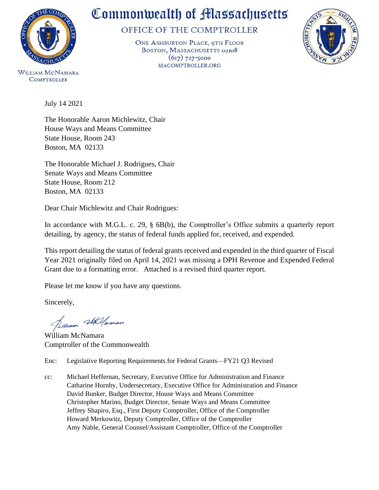

## Commonwealth of Massachusetts

OFFICE OF THE COMPTROLLER

ONE ASHBURTON PLACE, 9TH FLOOR BOSTON, MASSACHUSETTS 02108  $(617)$  727-5000 MACOMPTROLLER.ORG



**COMPTROLLER** 

July 14 2021

The Honorable Aaron Michlewitz, Chair House Ways and Means Committee State House, Room 243 Boston, MA 02133

The Honorable Michael J. Rodrigues, Chair Senate Ways and Means Committee State House, Room 212 Boston, MA 02133

Dear Chair Michlewitz and Chair Rodrigues:

In accordance with M.G.L. c. 29, § 6B(b), the Comptroller's Office submits a quarterly report detailing, by agency, the status of federal funds applied for, received, and expended.

This report detailing the status of federal grants received and expended in the third quarter of Fiscal Year 2021 originally filed on April 14, 2021 was missing a DPH Revenue and Expended Federal Grant due to a formatting error. Attached is a revised third quarter report.

Please let me know if you have any questions.

Sincerely,

Jelliam Stellaman

William McNamara Comptroller of the Commonwealth

Enc: Legislative Reporting Requirements for Federal Grants—FY21 Q3 Revised

cc: Michael Heffernan, Secretary, Executive Office for Administration and Finance Catharine Hornby, Undersecretary, Executive Office for Administration and Finance David Bunker, Budget Director, House Ways and Means Committee Christopher Marino, Budget Director, Senate Ways and Means Committee Jeffrey Shapiro, Esq., First Deputy Comptroller, Office of the Comptroller Howard Merkowitz, Deputy Comptroller, Office of the Comptroller Amy Nable, General Counsel/Assistant Comptroller, Office of the Comptroller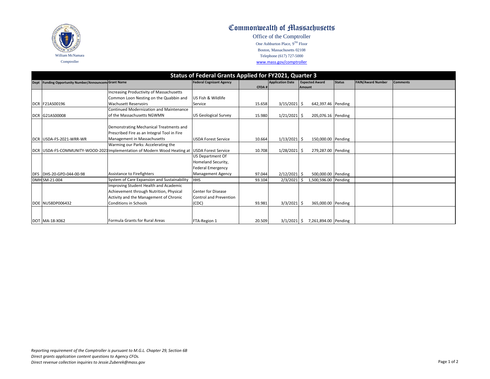

## Commonwealth of Massachusetts

Office of the Comptroller One Ashburton Place, 9TH Floor Boston, Massachusetts 02108 Telephone (617) 727-5000 www.mass.gov/comptroller

## **Status of Federal Grants Applied for FY2021, Quarter 3**

| Dept Funding Opportunity Number/Announcem Grant Name |                                                                                              | <b>Federal Cognizant Agency</b> | CFDA#  | <b>Application Date</b> |               | <b>Expected Award</b> | <b>Status</b> | <b>FAIN/Award Number</b> | <b>Comments</b> |
|------------------------------------------------------|----------------------------------------------------------------------------------------------|---------------------------------|--------|-------------------------|---------------|-----------------------|---------------|--------------------------|-----------------|
|                                                      | ncreasing Productivity of Massachusetts                                                      |                                 |        |                         | <b>Amount</b> |                       |               |                          |                 |
|                                                      | Common Loon Nesting on the Quabbin and                                                       | US Fish & Wildlife              |        |                         |               |                       |               |                          |                 |
| <b>DCR F21AS00196</b>                                | <b>Wachusett Reservoirs</b>                                                                  | Service                         | 15.658 | $3/15/2021$ \$          |               | 642,397.46 Pending    |               |                          |                 |
|                                                      | Continued Modernization and Maintenance                                                      |                                 |        |                         |               |                       |               |                          |                 |
| DCR G21AS00008                                       | of the Massachusetts NGWMN                                                                   | <b>US Geological Survey</b>     | 15.980 | $1/21/2021$ \$          |               | 205,076.16 Pending    |               |                          |                 |
|                                                      |                                                                                              |                                 |        |                         |               |                       |               |                          |                 |
|                                                      | Demonstrating Mechanical Treatments and                                                      |                                 |        |                         |               |                       |               |                          |                 |
|                                                      | Prescribed Fire as an Integral Tool in Fire                                                  |                                 |        |                         |               |                       |               |                          |                 |
| DCR USDA-FS-2021-WRR-WR                              | Management in Massachusetts                                                                  | <b>USDA Forest Service</b>      | 10.664 | $1/13/2021$ \$          |               | 150,000.00 Pending    |               |                          |                 |
|                                                      | Warming our Parks: Accelerating the                                                          |                                 |        |                         |               |                       |               |                          |                 |
|                                                      | DCR USDA-FS-COMMUNITY-WOOD-2021 Implementation of Modern Wood Heating at USDA Forest Service |                                 | 10.708 | $1/28/2021$ \$          |               | 279,287.00 Pending    |               |                          |                 |
|                                                      |                                                                                              | US Department Of                |        |                         |               |                       |               |                          |                 |
|                                                      |                                                                                              | Homeland Security,              |        |                         |               |                       |               |                          |                 |
|                                                      |                                                                                              | <b>Federal Emergency</b>        |        |                         |               |                       |               |                          |                 |
| DFS DHS-20-GPD-044-00-98                             | Assistance to Firefighters                                                                   | <b>Management Agency</b>        | 97.044 | $2/12/2021$ \$          |               | 500,000.00 Pending    |               |                          |                 |
| DMH SM-21-004                                        | System of Care Expansion and Sustainability                                                  | <b>HHS</b>                      | 93.104 | 2/3/2021                |               | 1,500,596.00 Pending  |               |                          |                 |
|                                                      | mproving Student Health and Academic                                                         |                                 |        |                         |               |                       |               |                          |                 |
|                                                      | Achievement through Nutrition, Physical                                                      | <b>Center for Disease</b>       |        |                         |               |                       |               |                          |                 |
|                                                      | Activity and the Management of Chronic                                                       | <b>Control and Prevention</b>   |        |                         |               |                       |               |                          |                 |
| DOE NU58DP006432                                     | <b>Conditions in Schools</b>                                                                 | (CDC)                           | 93.981 | $3/3/2021$ \$           |               | 365,000.00 Pending    |               |                          |                 |
|                                                      |                                                                                              |                                 |        |                         |               |                       |               |                          |                 |
|                                                      |                                                                                              |                                 |        |                         |               |                       |               |                          |                 |
| DOT MA-18-X062                                       | Formula Grants for Rural Areas                                                               | FTA-Region 1                    | 20.509 | $3/1/2021$ \$           |               | 7,261,894.00 Pending  |               |                          |                 |